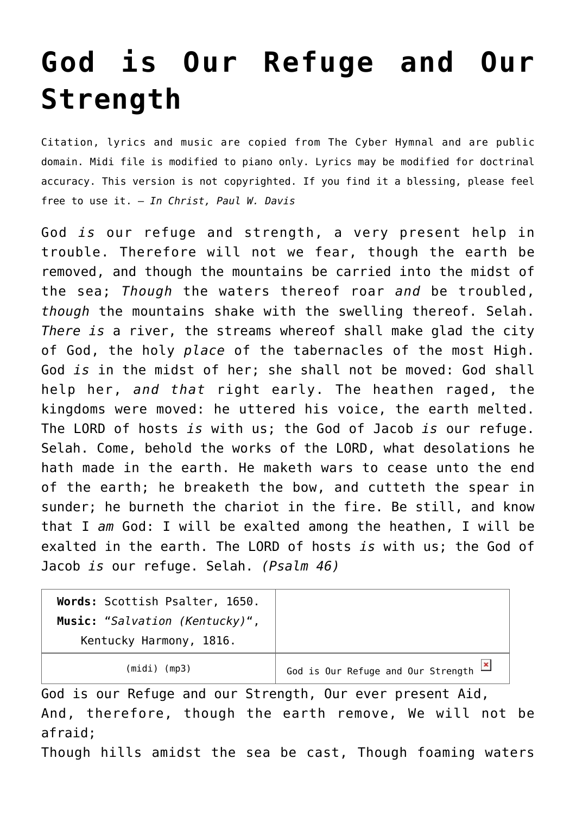## **[God is Our Refuge and Our](http://reproachofmen.org/hymns-and-music/god-our-refuge-and-our-strength/) [Strength](http://reproachofmen.org/hymns-and-music/god-our-refuge-and-our-strength/)**

Citation, lyrics and music are copied from [The Cyber Hymnal](http://www.hymntime.com/tch/index.htm) and are public domain. Midi file is modified to piano only. Lyrics may be modified for doctrinal accuracy. This version is not copyrighted. If you find it a blessing, please feel free to use it. — *In Christ, Paul W. Davis*

God *is* our refuge and strength, a very present help in trouble. Therefore will not we fear, though the earth be removed, and though the mountains be carried into the midst of the sea; *Though* the waters thereof roar *and* be troubled, *though* the mountains shake with the swelling thereof. Selah. *There is* a river, the streams whereof shall make glad the city of God, the holy *place* of the tabernacles of the most High. God *is* in the midst of her; she shall not be moved: God shall help her, *and that* right early. The heathen raged, the kingdoms were moved: he uttered his voice, the earth melted. The LORD of hosts *is* with us; the God of Jacob *is* our refuge. Selah. Come, behold the works of the LORD, what desolations he hath made in the earth. He maketh wars to cease unto the end of the earth; he breaketh the bow, and cutteth the spear in sunder; he burneth the chariot in the fire. Be still, and know that I *am* God: I will be exalted among the heathen, I will be exalted in the earth. The LORD of hosts *is* with us; the God of Jacob *is* our refuge. Selah. *(Psalm 46)*

| Words: Scottish Psalter, 1650. |                                             |
|--------------------------------|---------------------------------------------|
| Music: "Salvation (Kentucky)", |                                             |
| Kentucky Harmony, 1816.        |                                             |
| $(midi)$ (mp3)                 | God is Our Refuge and Our Strength <b>X</b> |

God is our Refuge and our Strength, Our ever present Aid, And, therefore, though the earth remove, We will not be afraid;

Though hills amidst the sea be cast, Though foaming waters